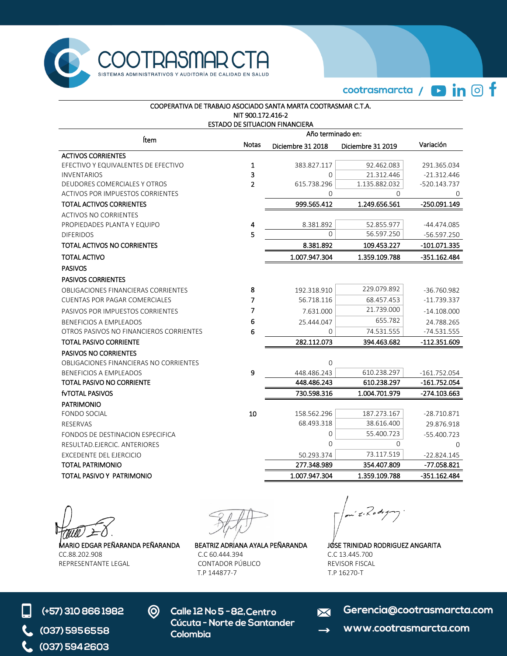

cootrasmarcta / **D** in © f

| COOPERATIVA DE TRABAJO ASOCIADO SANTA MARTA COOTRASMAR C.T.A. |                   |                         |                                                                                                                                                                                                                                                                                                                                                                                  |                              |  |  |
|---------------------------------------------------------------|-------------------|-------------------------|----------------------------------------------------------------------------------------------------------------------------------------------------------------------------------------------------------------------------------------------------------------------------------------------------------------------------------------------------------------------------------|------------------------------|--|--|
|                                                               | NIT 900.172.416-2 |                         |                                                                                                                                                                                                                                                                                                                                                                                  |                              |  |  |
| ESTADO DE SITUACION FINANCIERA<br>Año terminado en:           |                   |                         |                                                                                                                                                                                                                                                                                                                                                                                  |                              |  |  |
| Ítem                                                          |                   |                         | Diciembre 31 2019<br>92.462.083<br>21.312.446<br>1.135.882.032<br>$\Omega$<br>1.249.656.561<br>52.855.977<br>56.597.250<br>109.453.227<br>1.359.109.788<br>229.079.892<br>68.457.453<br>21.739.000<br>655.782<br>74.531.555<br>394.463.682<br>610.238.297<br>610.238.297<br>1.004.701.979<br>187.273.167<br>38.616.400<br>55.400.723<br>$\mathbf 0$<br>73.117.519<br>354.407.809 |                              |  |  |
|                                                               | <b>Notas</b>      | Diciembre 31 2018       |                                                                                                                                                                                                                                                                                                                                                                                  | Variación                    |  |  |
| <b>ACTIVOS CORRIENTES</b>                                     |                   |                         |                                                                                                                                                                                                                                                                                                                                                                                  |                              |  |  |
| EFECTIVO Y EQUIVALENTES DE EFECTIVO<br><b>INVENTARIOS</b>     | 1<br>3            | 383.827.117<br>$\Omega$ |                                                                                                                                                                                                                                                                                                                                                                                  | 291.365.034<br>$-21.312.446$ |  |  |
| DEUDORES COMERCIALES Y OTROS                                  | $\overline{2}$    | 615.738.296             |                                                                                                                                                                                                                                                                                                                                                                                  | -520.143.737                 |  |  |
| <b>ACTIVOS POR IMPUESTOS CORRIENTES</b>                       |                   | 0                       |                                                                                                                                                                                                                                                                                                                                                                                  | 0                            |  |  |
| <b>TOTAL ACTIVOS CORRIENTES</b>                               |                   | 999.565.412             |                                                                                                                                                                                                                                                                                                                                                                                  | -250.091.149                 |  |  |
| <b>ACTIVOS NO CORRIENTES</b>                                  |                   |                         |                                                                                                                                                                                                                                                                                                                                                                                  |                              |  |  |
| PROPIEDADES PLANTA Y EQUIPO                                   | 4                 | 8.381.892               |                                                                                                                                                                                                                                                                                                                                                                                  | -44.474.085                  |  |  |
| <b>DIFERIDOS</b>                                              | 5                 | $\overline{0}$          |                                                                                                                                                                                                                                                                                                                                                                                  | -56.597.250                  |  |  |
| TOTAL ACTIVOS NO CORRIENTES                                   |                   | 8.381.892               |                                                                                                                                                                                                                                                                                                                                                                                  | -101.071.335                 |  |  |
| <b>TOTAL ACTIVO</b>                                           |                   | 1.007.947.304           |                                                                                                                                                                                                                                                                                                                                                                                  | $-351.162.484$               |  |  |
| <b>PASIVOS</b>                                                |                   |                         |                                                                                                                                                                                                                                                                                                                                                                                  |                              |  |  |
| <b>PASIVOS CORRIENTES</b>                                     |                   |                         |                                                                                                                                                                                                                                                                                                                                                                                  |                              |  |  |
| OBLIGACIONES FINANCIERAS CORRIENTES                           | 8                 | 192.318.910             |                                                                                                                                                                                                                                                                                                                                                                                  | -36.760.982                  |  |  |
| <b>CUENTAS POR PAGAR COMERCIALES</b>                          | 7                 | 56.718.116              |                                                                                                                                                                                                                                                                                                                                                                                  | -11.739.337                  |  |  |
| PASIVOS POR IMPUESTOS CORRIENTES                              | 7                 | 7.631.000               |                                                                                                                                                                                                                                                                                                                                                                                  | $-14.108.000$                |  |  |
| <b>BENEFICIOS A EMPLEADOS</b>                                 | 6                 | 25.444.047              |                                                                                                                                                                                                                                                                                                                                                                                  | 24.788.265                   |  |  |
| OTROS PASIVOS NO FINANCIEROS CORRIENTES                       | 6                 | 0                       |                                                                                                                                                                                                                                                                                                                                                                                  | -74.531.555                  |  |  |
| <b>TOTAL PASIVO CORRIENTE</b>                                 |                   | 282.112.073             |                                                                                                                                                                                                                                                                                                                                                                                  | -112.351.609                 |  |  |
| PASIVOS NO CORRIENTES                                         |                   |                         |                                                                                                                                                                                                                                                                                                                                                                                  |                              |  |  |
| OBLIGACIONES FINANCIERAS NO CORRIENTES                        |                   | 0                       |                                                                                                                                                                                                                                                                                                                                                                                  |                              |  |  |
| <b>BENEFICIOS A EMPLEADOS</b>                                 | 9                 | 448.486.243             |                                                                                                                                                                                                                                                                                                                                                                                  | -161.752.054                 |  |  |
| TOTAL PASIVO NO CORRIENTE                                     |                   | 448.486.243             |                                                                                                                                                                                                                                                                                                                                                                                  | $-161.752.054$               |  |  |
| fyTOTAL PASIVOS                                               |                   | 730.598.316             |                                                                                                                                                                                                                                                                                                                                                                                  | -274.103.663                 |  |  |
| <b>PATRIMONIO</b>                                             |                   |                         |                                                                                                                                                                                                                                                                                                                                                                                  |                              |  |  |
| FONDO SOCIAL                                                  | 10                | 158.562.296             |                                                                                                                                                                                                                                                                                                                                                                                  | -28.710.871                  |  |  |
| <b>RESERVAS</b>                                               |                   | 68.493.318              |                                                                                                                                                                                                                                                                                                                                                                                  | 29.876.918                   |  |  |
| FONDOS DE DESTINACION ESPECIFICA                              |                   | 0                       |                                                                                                                                                                                                                                                                                                                                                                                  | -55.400.723                  |  |  |
| RESULTAD.EJERCIC. ANTERIORES                                  |                   | $\Omega$                |                                                                                                                                                                                                                                                                                                                                                                                  | $\Omega$                     |  |  |
| EXCEDENTE DEL EJERCICIO                                       |                   | 50.293.374              |                                                                                                                                                                                                                                                                                                                                                                                  | $-22.824.145$                |  |  |
| <b>TOTAL PATRIMONIO</b>                                       |                   | 277.348.989             |                                                                                                                                                                                                                                                                                                                                                                                  | -77.058.821                  |  |  |
| TOTAL PASIVO Y PATRIMONIO                                     |                   | 1.007.947.304           | 1.359.109.788                                                                                                                                                                                                                                                                                                                                                                    | -351.162.484                 |  |  |

MARIO EDGAR PEÑARANDA PEÑARANDA BEATRIZ ADRIANA AYALA PEÑARANDA JOSE TRINIDAD RODRIGUEZ ANGARITA CC.88.202.908 C.C 60.444.394 C.C 13.445.700

REPRESENTANTE LEGAL CONTADOR PÚBLICO REVISOR FISCAL T.P 144877-7 T.P 16270-T

 $z \times 10$  $\gamma^{\cdot}$ 



- $\odot$ Calle 12 No 5 - 82, Centro Cúcuta - Norte de Santander Colombia
- Gerencia@cootrasmarcta.com  $\overline{\Join}$
- www.cootrasmarcta.com  $\rightarrow$